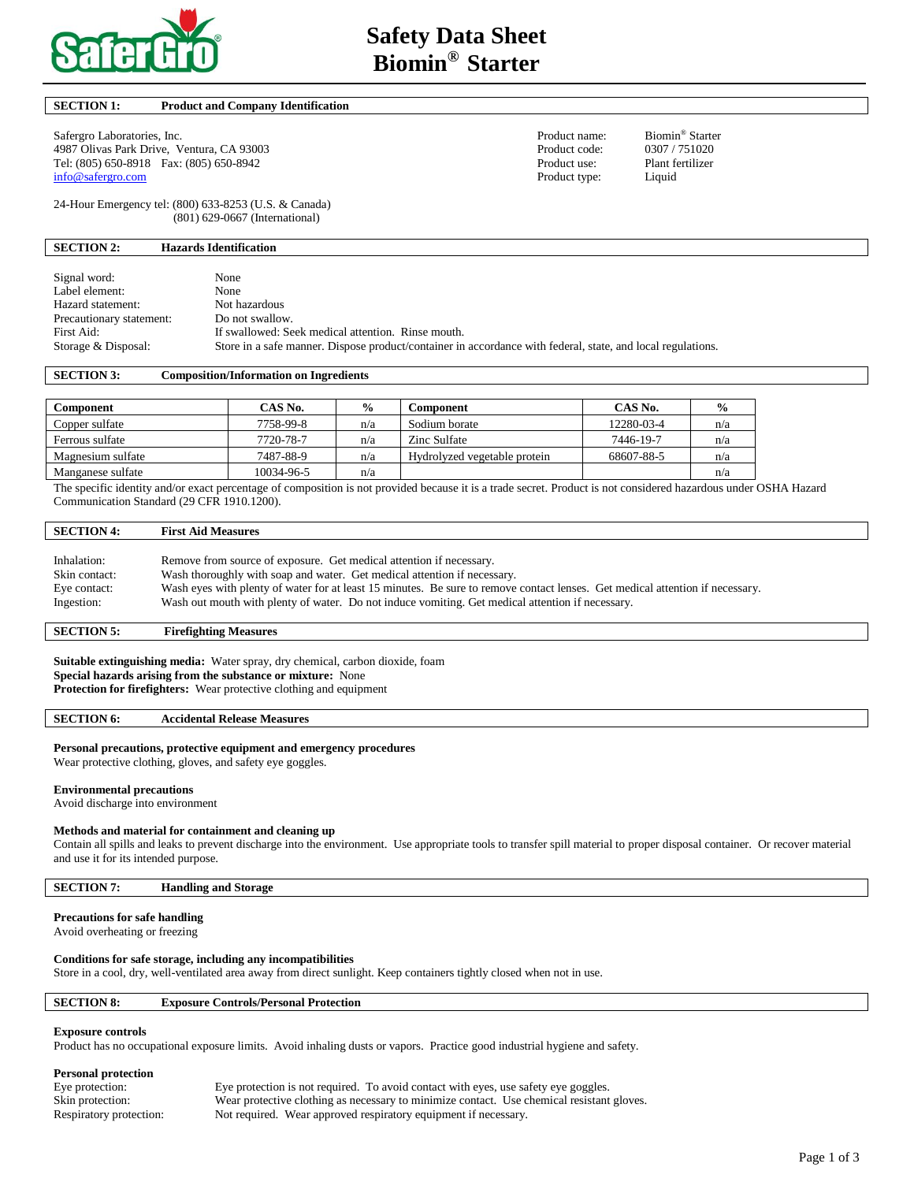

### **SECTION 1: Product and Company Identification**

Safergro Laboratories, Inc. **Product name:** Biomin<sup>®</sup> Starter 4987 Olivas Park Drive, Ventura, CA 93003<br>
Tel: (805) 650-8918 Fax: (805) 650-8942<br>
Product use: Plant fertilizer Tel: (805) 650-8918 Fax: (805) 650-8942 Product use:<br>
info@safergro.com Product type: [info@safergro.com](mailto:info@safergro.com) Product type: Liquid

24-Hour Emergency tel: (800) 633-8253 (U.S. & Canada) (801) 629-0667 (International)

### **SECTION 2: Hazards Identification**

| Signal word:             | None                                                                                                        |
|--------------------------|-------------------------------------------------------------------------------------------------------------|
| Label element:           | None                                                                                                        |
| Hazard statement:        | Not hazardous                                                                                               |
| Precautionary statement: | Do not swallow.                                                                                             |
| First Aid:               | If swallowed: Seek medical attention. Rinse mouth.                                                          |
| Storage & Disposal:      | Store in a safe manner. Dispose product/container in accordance with federal, state, and local regulations. |

### **SECTION 3: Composition/Information on Ingredients**

| Component         | CAS No.    | $\frac{0}{0}$ | <b>Component</b>             | CAS No.    | $\frac{0}{0}$ |
|-------------------|------------|---------------|------------------------------|------------|---------------|
| Copper sulfate    | 7758-99-8  | n/a           | Sodium borate                | 12280-03-4 | n/a           |
| Ferrous sulfate   | 7720-78-7  | n/a           | Zinc Sulfate                 | 7446-19-7  | n/a           |
| Magnesium sulfate | 7487-88-9  | n/a           | Hydrolyzed vegetable protein | 68607-88-5 | n/a           |
| Manganese sulfate | 10034-96-5 | n/a           |                              |            | n/a           |

The specific identity and/or exact percentage of composition is not provided because it is a trade secret. Product is not considered hazardous under OSHA Hazard Communication Standard (29 CFR 1910.1200).

# **SECTION 4: First Aid Measures**  Inhalation: Remove from source of exposure. Get medical attention if necessary. Skin contact: Wash thoroughly with soap and water. Get medical attention if necessary. Eye contact: Wash eyes with plenty of water for at least 15 minutes. Be sure to remove contact lenses. Get medical attention if necessary.

Ingestion: Wash out mouth with plenty of water. Do not induce vomiting. Get medical attention if necessary.

# **SECTION 5: Firefighting Measures**

**Suitable extinguishing media:** Water spray, dry chemical, carbon dioxide, foam **Special hazards arising from the substance or mixture:** None **Protection for firefighters:** Wear protective clothing and equipment

#### **SECTION 6: Accidental Release Measures**

#### **Personal precautions, protective equipment and emergency procedures**

Wear protective clothing, gloves, and safety eye goggles.

#### **Environmental precautions**

Avoid discharge into environment

#### **Methods and material for containment and cleaning up**

Contain all spills and leaks to prevent discharge into the environment. Use appropriate tools to transfer spill material to proper disposal container. Or recover material and use it for its intended purpose.

**SECTION 7: Handling and Storage** 

### **Precautions for safe handling**

Avoid overheating or freezing

### **Conditions for safe storage, including any incompatibilities**

Store in a cool, dry, well-ventilated area away from direct sunlight. Keep containers tightly closed when not in use.

# **SECTION 8: Exposure Controls/Personal Protection**

#### **Exposure controls**

Product has no occupational exposure limits. Avoid inhaling dusts or vapors. Practice good industrial hygiene and safety.

#### **Personal protection**

Eye protection: Eye protection is not required. To avoid contact with eyes, use safety eye goggles. Skin protection: Wear protective clothing as necessary to minimize contact. Use chemical resistant gloves. Respiratory protection: Not required. Wear approved respiratory equipment if necessary.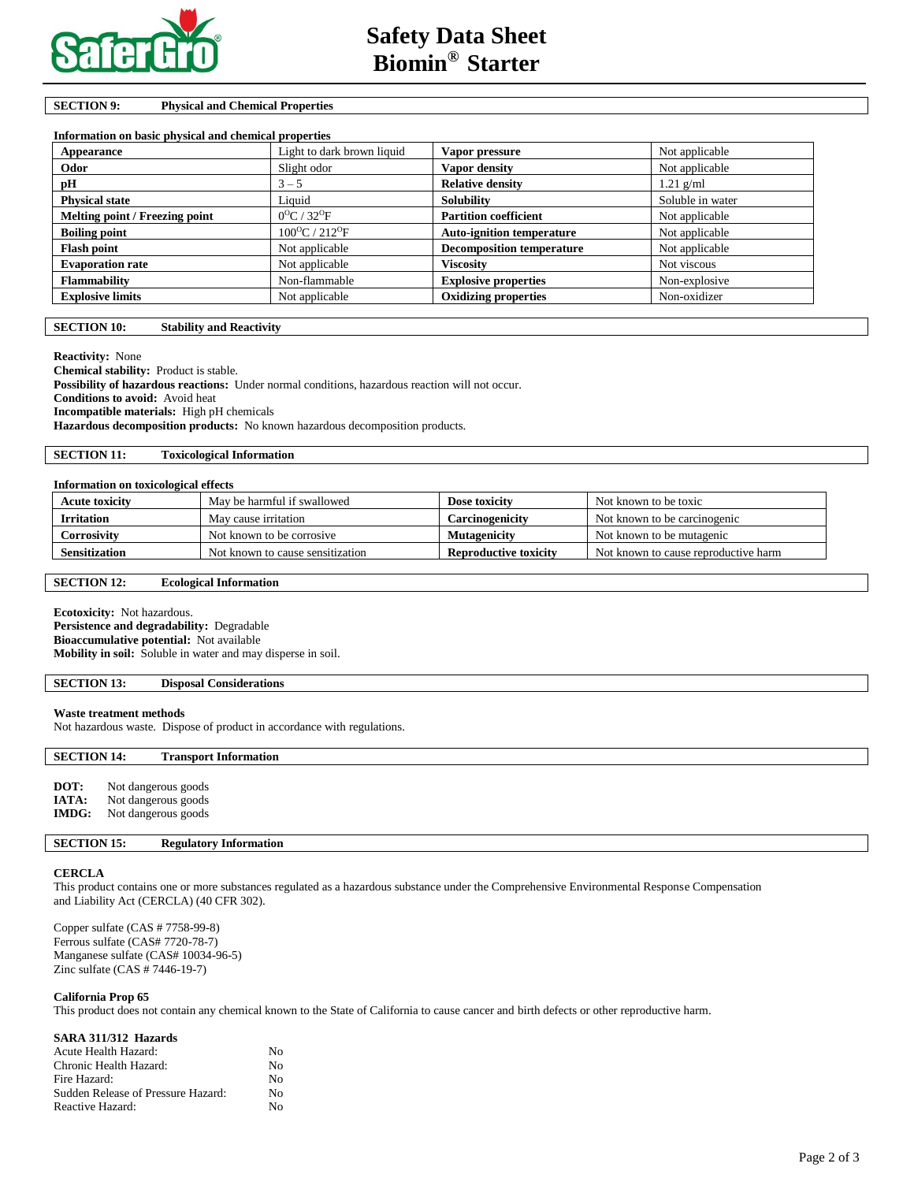

# **SECTION 9: Physical and Chemical Properties**

| Information on basic physical and chemical properties |                                      |                                  |                  |
|-------------------------------------------------------|--------------------------------------|----------------------------------|------------------|
| Appearance                                            | Light to dark brown liquid           | Vapor pressure                   | Not applicable   |
| Odor                                                  | Slight odor                          | Vapor density                    | Not applicable   |
| рH                                                    | $3 - 5$                              | <b>Relative density</b>          | $1.21$ g/ml      |
| <b>Physical state</b>                                 | Liquid                               | <b>Solubility</b>                | Soluble in water |
| Melting point / Freezing point                        | $0^{\circ}$ C / 32 $^{\circ}$ F      | <b>Partition coefficient</b>     | Not applicable   |
| <b>Boiling point</b>                                  | $100^{\circ}$ C / 212 <sup>o</sup> F | <b>Auto-ignition temperature</b> | Not applicable   |
| <b>Flash point</b>                                    | Not applicable                       | <b>Decomposition temperature</b> | Not applicable   |
| <b>Evaporation rate</b>                               | Not applicable                       | Viscositv                        | Not viscous      |
| <b>Flammability</b>                                   | Non-flammable                        | <b>Explosive properties</b>      | Non-explosive    |
| <b>Explosive limits</b>                               | Not applicable                       | <b>Oxidizing properties</b>      | Non-oxidizer     |

### **SECTION 10: Stability and Reactivity**

**Reactivity:** None

**Chemical stability:** Product is stable. **Possibility of hazardous reactions:** Under normal conditions, hazardous reaction will not occur. **Conditions to avoid:** Avoid heat **Incompatible materials:** High pH chemicals **Hazardous decomposition products:** No known hazardous decomposition products.

**SECTION 11: Toxicological Information** 

# **Information on toxicological effects**

| <b>Acute toxicity</b> | May be harmful if swallowed      | Dose toxicity         | Not known to be toxic                |
|-----------------------|----------------------------------|-----------------------|--------------------------------------|
| <b>Irritation</b>     | May cause irritation             | Carcinogenicity       | Not known to be carcinogenic         |
| Corrosivity           | Not known to be corrosive        | Mutagenicity          | Not known to be mutagenic            |
| Sensitization         | Not known to cause sensitization | Reproductive toxicity | Not known to cause reproductive harm |

### **SECTION 12: Ecological Information**

**Ecotoxicity:** Not hazardous. **Persistence and degradability:** Degradable **Bioaccumulative potential:** Not available **Mobility in soil:** Soluble in water and may disperse in soil.

### **SECTION 13: Disposal Considerations**

### **Waste treatment methods**

Not hazardous waste. Dispose of product in accordance with regulations.

# **SECTION 14: Transport Information**

| DOT:         | Not dangerous goods |
|--------------|---------------------|
| <b>IATA:</b> | Not dangerous goods |
| <b>IMDG:</b> | Not dangerous goods |

### **SECTION 15: Regulatory Information**

### **CERCLA**

This product contains one or more substances regulated as a hazardous substance under the Comprehensive Environmental Response Compensation and Liability Act (CERCLA) (40 CFR 302).

Copper sulfate (CAS # 7758-99-8) Ferrous sulfate (CAS# 7720-78-7) Manganese sulfate (CAS# 10034-96-5) Zinc sulfate (CAS # 7446-19-7)

# **California Prop 65**

This product does not contain any chemical known to the State of California to cause cancer and birth defects or other reproductive harm.

| SARA 311/312 Hazards               |    |
|------------------------------------|----|
| Acute Health Hazard:               | No |
| Chronic Health Hazard:             | No |
| Fire Hazard:                       | No |
| Sudden Release of Pressure Hazard: | No |
| Reactive Hazard:                   | N٥ |